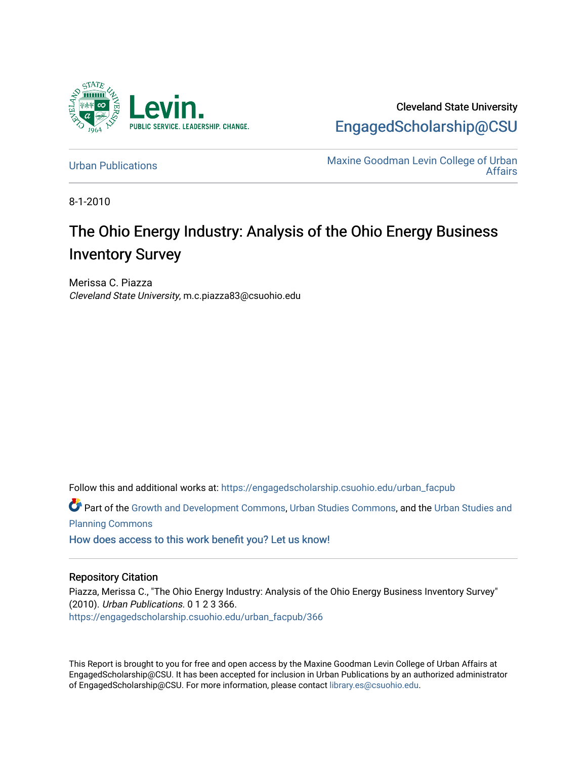

Cleveland State University [EngagedScholarship@CSU](https://engagedscholarship.csuohio.edu/) 

[Urban Publications](https://engagedscholarship.csuohio.edu/urban_facpub) Maxine Goodman Levin College of Urban [Affairs](https://engagedscholarship.csuohio.edu/urban) 

8-1-2010

# The Ohio Energy Industry: Analysis of the Ohio Energy Business Inventory Survey

Merissa C. Piazza Cleveland State University, m.c.piazza83@csuohio.edu

Follow this and additional works at: [https://engagedscholarship.csuohio.edu/urban\\_facpub](https://engagedscholarship.csuohio.edu/urban_facpub?utm_source=engagedscholarship.csuohio.edu%2Furban_facpub%2F366&utm_medium=PDF&utm_campaign=PDFCoverPages) 

Part of the [Growth and Development Commons,](http://network.bepress.com/hgg/discipline/346?utm_source=engagedscholarship.csuohio.edu%2Furban_facpub%2F366&utm_medium=PDF&utm_campaign=PDFCoverPages) [Urban Studies Commons](http://network.bepress.com/hgg/discipline/402?utm_source=engagedscholarship.csuohio.edu%2Furban_facpub%2F366&utm_medium=PDF&utm_campaign=PDFCoverPages), and the [Urban Studies and](http://network.bepress.com/hgg/discipline/436?utm_source=engagedscholarship.csuohio.edu%2Furban_facpub%2F366&utm_medium=PDF&utm_campaign=PDFCoverPages) [Planning Commons](http://network.bepress.com/hgg/discipline/436?utm_source=engagedscholarship.csuohio.edu%2Furban_facpub%2F366&utm_medium=PDF&utm_campaign=PDFCoverPages)

[How does access to this work benefit you? Let us know!](http://library.csuohio.edu/engaged/)

#### Repository Citation

Piazza, Merissa C., "The Ohio Energy Industry: Analysis of the Ohio Energy Business Inventory Survey" (2010). Urban Publications. 0 1 2 3 366. [https://engagedscholarship.csuohio.edu/urban\\_facpub/366](https://engagedscholarship.csuohio.edu/urban_facpub/366?utm_source=engagedscholarship.csuohio.edu%2Furban_facpub%2F366&utm_medium=PDF&utm_campaign=PDFCoverPages)

This Report is brought to you for free and open access by the Maxine Goodman Levin College of Urban Affairs at EngagedScholarship@CSU. It has been accepted for inclusion in Urban Publications by an authorized administrator of EngagedScholarship@CSU. For more information, please contact [library.es@csuohio.edu.](mailto:library.es@csuohio.edu)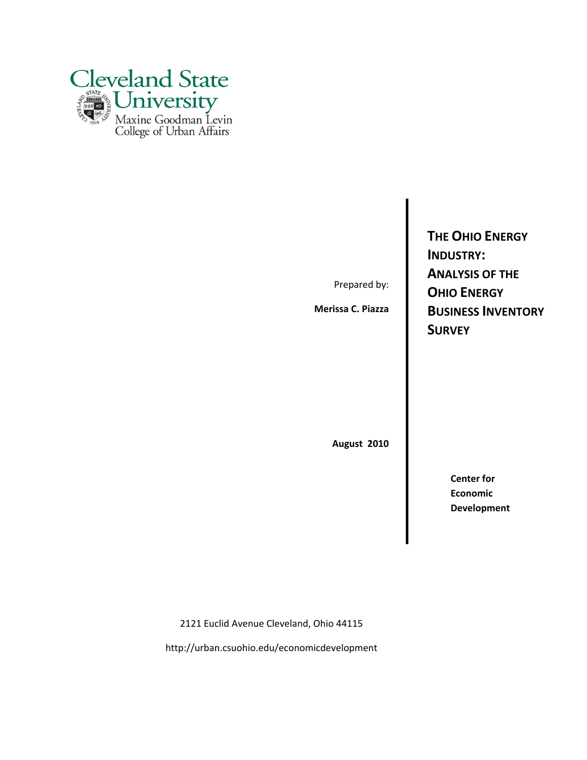

Prepared by:

**Merissa C. Piazza**

**THE OHIO ENERGY INDUSTRY: ANALYSIS OF THE OHIO ENERGY BUSINESS INVENTORY SURVEY**

**August 2010**

**Center for Economic Development**

2121 Euclid Avenue Cleveland, Ohio 44115

http://urban.csuohio.edu/economicdevelopment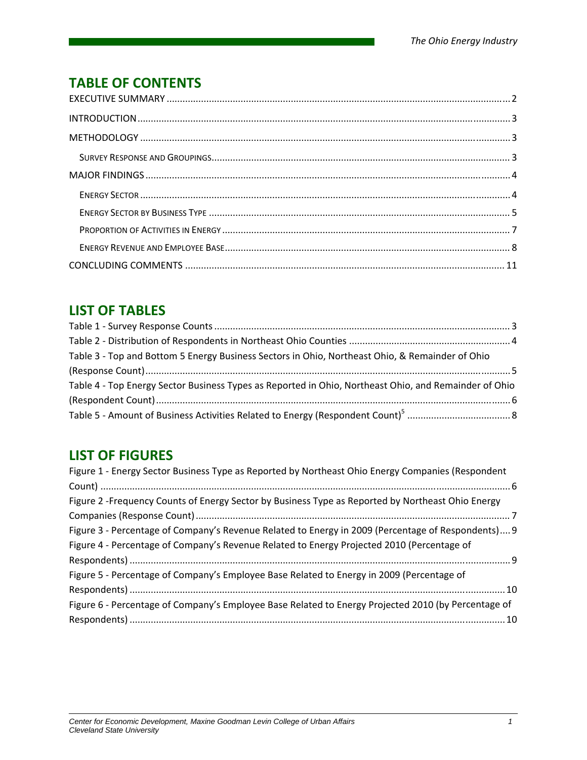## **TABLE OF CONTENTS**

## **LIST OF TABLES**

| Table 3 - Top and Bottom 5 Energy Business Sectors in Ohio, Northeast Ohio, & Remainder of Ohio       |  |
|-------------------------------------------------------------------------------------------------------|--|
|                                                                                                       |  |
| Table 4 - Top Energy Sector Business Types as Reported in Ohio, Northeast Ohio, and Remainder of Ohio |  |
|                                                                                                       |  |
|                                                                                                       |  |

## **LIST OF FIGURES**

| Figure 1 - Energy Sector Business Type as Reported by Northeast Ohio Energy Companies (Respondent   |
|-----------------------------------------------------------------------------------------------------|
|                                                                                                     |
| Figure 2 -Frequency Counts of Energy Sector by Business Type as Reported by Northeast Ohio Energy   |
|                                                                                                     |
| Figure 3 - Percentage of Company's Revenue Related to Energy in 2009 (Percentage of Respondents) 9  |
| Figure 4 - Percentage of Company's Revenue Related to Energy Projected 2010 (Percentage of          |
|                                                                                                     |
| Figure 5 - Percentage of Company's Employee Base Related to Energy in 2009 (Percentage of           |
|                                                                                                     |
| Figure 6 - Percentage of Company's Employee Base Related to Energy Projected 2010 (by Percentage of |
|                                                                                                     |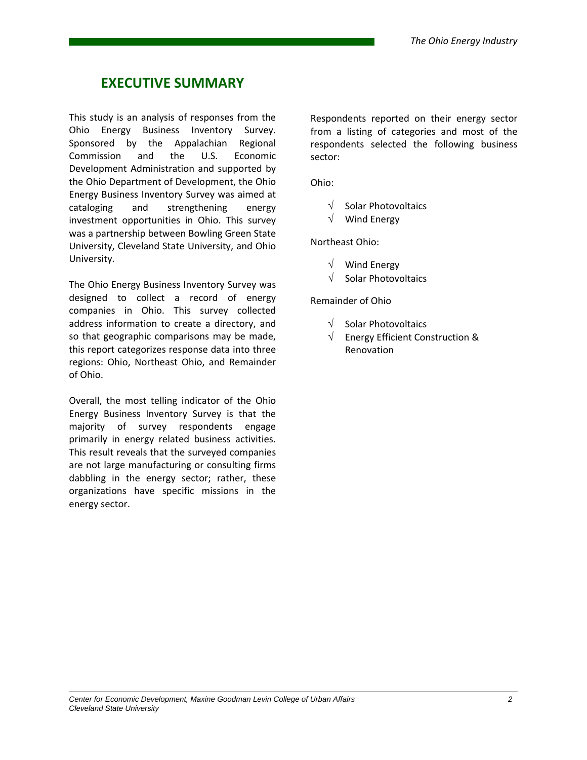## **EXECUTIVE SUMMARY**

This study is an analysis of responses from the Ohio Energy Business Inventory Survey. Sponsored by the Appalachian Regional Commission and the U.S. Economic Development Administration and supported by the Ohio Department of Development, the Ohio Energy Business Inventory Survey was aimed at cataloging and strengthening energy investment opportunities in Ohio. This survey was a partnership between Bowling Green State University, Cleveland State University, and Ohio University.

The Ohio Energy Business Inventory Survey was designed to collect a record of energy companies in Ohio. This survey collected address information to create a directory, and so that geographic comparisons may be made, this report categorizes response data into three regions: Ohio, Northeast Ohio, and Remainder of Ohio.

Overall, the most telling indicator of the Ohio Energy Business Inventory Survey is that the majority of survey respondents engage primarily in energy related business activities. This result reveals that the surveyed companies are not large manufacturing or consulting firms dabbling in the energy sector; rather, these organizations have specific missions in the energy sector.

Respondents reported on their energy sector from a listing of categories and most of the respondents selected the following business sector:

Ohio:

- $\sqrt{\phantom{a}}$  Solar Photovoltaics
- $\sqrt{\phantom{a}}$  Wind Energy

Northeast Ohio:

- $\sqrt{\phantom{a}}$  Wind Energy
- $\sqrt{\phantom{a}}$  Solar Photovoltaics

Remainder of Ohio

- $\sqrt{\phantom{a}}$  Solar Photovoltaics
- $\sqrt{\phantom{a}}$  Energy Efficient Construction & Renovation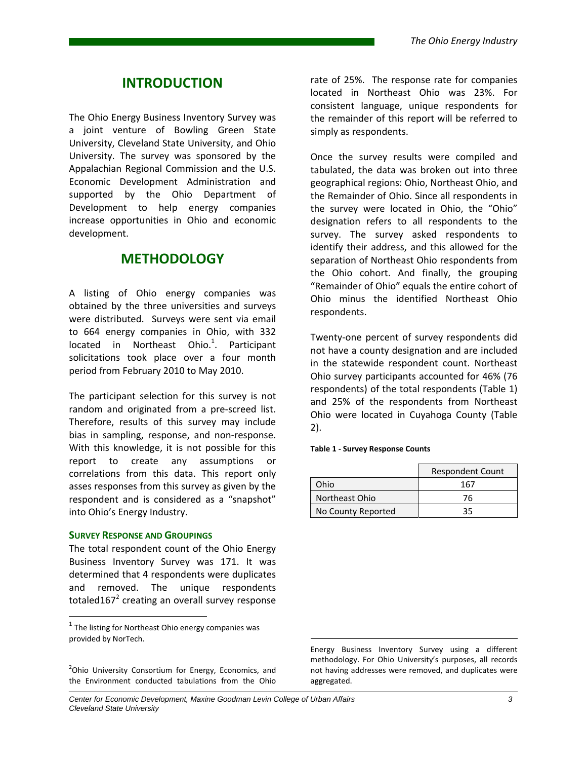### **INTRODUCTION**

The Ohio Energy Business Inventory Survey was a joint venture of Bowling Green State University, Cleveland State University, and Ohio University. The survey was sponsored by the Appalachian Regional Commission and the U.S. Economic Development Administration and supported by the Ohio Department of Development to help energy companies increase opportunities in Ohio and economic development.

### **METHODOLOGY**

A listing of Ohio energy companies was obtained by the three universities and surveys were distributed. Surveys were sent via email to 664 energy companies in Ohio, with 332 located in Northeast Ohio.<sup>1</sup>. Participant solicitations took place over a four month period from February 2010 to May 2010.

The participant selection for this survey is not random and originated from a pre‐screed list. Therefore, results of this survey may include bias in sampling, response, and non‐response. With this knowledge, it is not possible for this report to create any assumptions or correlations from this data. This report only asses responses from this survey as given by the respondent and is considered as a "snapshot" into Ohio's Energy Industry.

#### **SURVEY RESPONSE AND GROUPINGS**

The total respondent count of the Ohio Energy Business Inventory Survey was 171. It was determined that 4 respondents were duplicates and removed. The unique respondents totaled $167<sup>2</sup>$  creating an overall survey response

<sup>2</sup>Ohio University Consortium for Energy, Economics, and the Environment conducted tabulations from the Ohio

rate of 25%. The response rate for companies located in Northeast Ohio was 23%. For consistent language, unique respondents for the remainder of this report will be referred to simply as respondents.

Once the survey results were compiled and tabulated, the data was broken out into three geographical regions: Ohio, Northeast Ohio, and the Remainder of Ohio. Since all respondents in the survey were located in Ohio, the "Ohio" designation refers to all respondents to the survey. The survey asked respondents to identify their address, and this allowed for the separation of Northeast Ohio respondents from the Ohio cohort. And finally, the grouping "Remainder of Ohio" equals the entire cohort of Ohio minus the identified Northeast Ohio respondents.

Twenty‐one percent of survey respondents did not have a county designation and are included in the statewide respondent count. Northeast Ohio survey participants accounted for 46% (76 respondents) of the total respondents (Table 1) and 25% of the respondents from Northeast Ohio were located in Cuyahoga County (Table 2).

#### **Table 1 ‐ Survey Response Counts**

|                    | <b>Respondent Count</b> |
|--------------------|-------------------------|
| Ohio               | 167                     |
| Northeast Ohio     | 76                      |
| No County Reported | 35                      |

Energy Business Inventory Survey using a different methodology. For Ohio University's purposes, all records not having addresses were removed, and duplicates were aggregated.

 $1$  The listing for Northeast Ohio energy companies was provided by NorTech.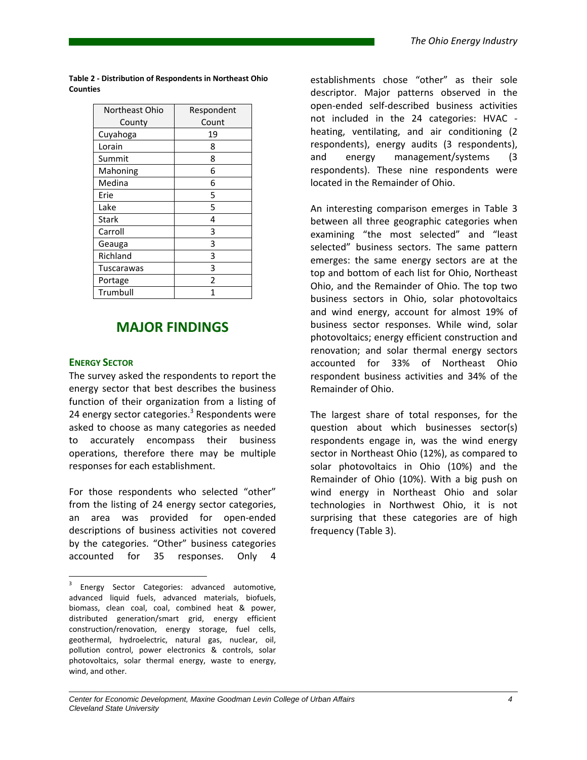| Northeast Ohio | Respondent               |
|----------------|--------------------------|
| County         | Count                    |
| Cuyahoga       | 19                       |
| Lorain         | 8                        |
| Summit         | 8                        |
| Mahoning       | 6                        |
| Medina         | 6                        |
| Erie           | 5                        |
| Lake           | 5                        |
| Stark          | 4                        |
| Carroll        | 3                        |
| Geauga         | 3                        |
| Richland       | 3                        |
| Tuscarawas     | 3                        |
| Portage        | $\overline{\phantom{a}}$ |
| Trumbull       | 1                        |

**Table 2 ‐ Distribution of Respondents in Northeast Ohio Counties**

### **MAJOR FINDINGS**

#### **ENERGY SECTOR**

The survey asked the respondents to report the energy sector that best describes the business function of their organization from a listing of 24 energy sector categories.<sup>3</sup> Respondents were asked to choose as many categories as needed to accurately encompass their business operations, therefore there may be multiple responses for each establishment.

For those respondents who selected "other" from the listing of 24 energy sector categories, an area was provided for open‐ended descriptions of business activities not covered by the categories. "Other" business categories accounted for 35 responses. Only 4

establishments chose "other" as their sole descriptor. Major patterns observed in the open‐ended self‐described business activities not included in the 24 categories: HVAC ‐ heating, ventilating, and air conditioning (2 respondents), energy audits (3 respondents), and energy management/systems (3 respondents). These nine respondents were located in the Remainder of Ohio.

An interesting comparison emerges in Table 3 between all three geographic categories when examining "the most selected" and "least selected" business sectors. The same pattern emerges: the same energy sectors are at the top and bottom of each list for Ohio, Northeast Ohio, and the Remainder of Ohio. The top two business sectors in Ohio, solar photovoltaics and wind energy, account for almost 19% of business sector responses. While wind, solar photovoltaics; energy efficient construction and renovation; and solar thermal energy sectors accounted for 33% of Northeast Ohio respondent business activities and 34% of the Remainder of Ohio.

The largest share of total responses, for the question about which businesses sector(s) respondents engage in, was the wind energy sector in Northeast Ohio (12%), as compared to solar photovoltaics in Ohio (10%) and the Remainder of Ohio (10%). With a big push on wind energy in Northeast Ohio and solar technologies in Northwest Ohio, it is not surprising that these categories are of high frequency (Table 3).

<sup>&</sup>lt;sup>3</sup> Energy Sector Categories: advanced automotive, advanced liquid fuels, advanced materials, biofuels, biomass, clean coal, coal, combined heat & power, distributed generation/smart grid, energy efficient construction/renovation, energy storage, fuel cells, geothermal, hydroelectric, natural gas, nuclear, oil, pollution control, power electronics & controls, solar photovoltaics, solar thermal energy, waste to energy, wind, and other.

*Center for Economic Development, Maxine Goodman Levin College of Urban Affairs 4 Cleveland State University*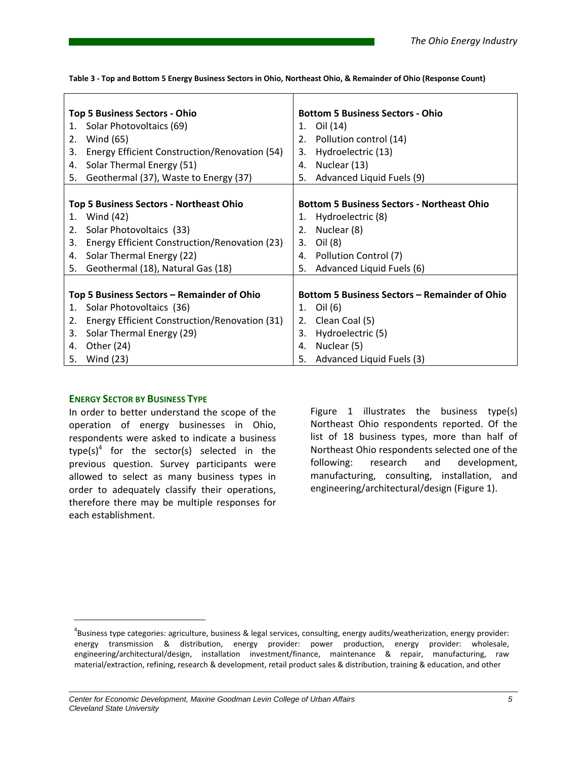| 1.<br>2.<br>3.<br>4.<br>5. | <b>Top 5 Business Sectors - Ohio</b><br>Solar Photovoltaics (69)<br>Wind (65)<br>Energy Efficient Construction/Renovation (54)<br>Solar Thermal Energy (51)<br>Geothermal (37), Waste to Energy (37) | 2.<br>5.       | <b>Bottom 5 Business Sectors - Ohio</b><br>1. Oil (14)<br>Pollution control (14)<br>3. Hydroelectric (13)<br>4. Nuclear (13)<br>Advanced Liquid Fuels (9)    |
|----------------------------|------------------------------------------------------------------------------------------------------------------------------------------------------------------------------------------------------|----------------|--------------------------------------------------------------------------------------------------------------------------------------------------------------|
| 1.<br>2.<br>3.<br>4.<br>5. | Top 5 Business Sectors - Northeast Ohio<br>Wind (42)<br>Solar Photovoltaics (33)<br>Energy Efficient Construction/Renovation (23)<br>Solar Thermal Energy (22)<br>Geothermal (18), Natural Gas (18)  | 2.<br>4.<br>5. | <b>Bottom 5 Business Sectors - Northeast Ohio</b><br>1. Hydroelectric (8)<br>Nuclear (8)<br>3. Oil (8)<br>Pollution Control (7)<br>Advanced Liquid Fuels (6) |
| 1.<br>2.<br>3.<br>4.       | Top 5 Business Sectors – Remainder of Ohio<br>Solar Photovoltaics (36)<br>Energy Efficient Construction/Renovation (31)<br>Solar Thermal Energy (29)<br>Other (24)<br>5. Wind (23)                   | 3.<br>4.<br>5. | <b>Bottom 5 Business Sectors - Remainder of Ohio</b><br>1. Oil (6)<br>2. Clean Coal (5)<br>Hydroelectric (5)<br>Nuclear (5)<br>Advanced Liquid Fuels (3)     |

Table 3 - Top and Bottom 5 Energy Business Sectors in Ohio, Northeast Ohio, & Remainder of Ohio (Response Count)

#### **ENERGY SECTOR BY BUSINESS TYPE**

In order to better understand the scope of the operation of energy businesses in Ohio, respondents were asked to indicate a business type(s)<sup>4</sup> for the sector(s) selected in the previous question. Survey participants were allowed to select as many business types in order to adequately classify their operations, therefore there may be multiple responses for each establishment.

Figure 1 illustrates the business type(s) Northeast Ohio respondents reported. Of the list of 18 business types, more than half of Northeast Ohio respondents selected one of the following: research and development, manufacturing, consulting, installation, and engineering/architectural/design (Figure 1).

<sup>4</sup> Business type categories: agriculture, business & legal services, consulting, energy audits/weatherization, energy provider: energy transmission & distribution, energy provider: power production, energy provider: wholesale, engineering/architectural/design, installation investment/finance, maintenance & repair, manufacturing, raw material/extraction, refining, research & development, retail product sales & distribution, training & education, and other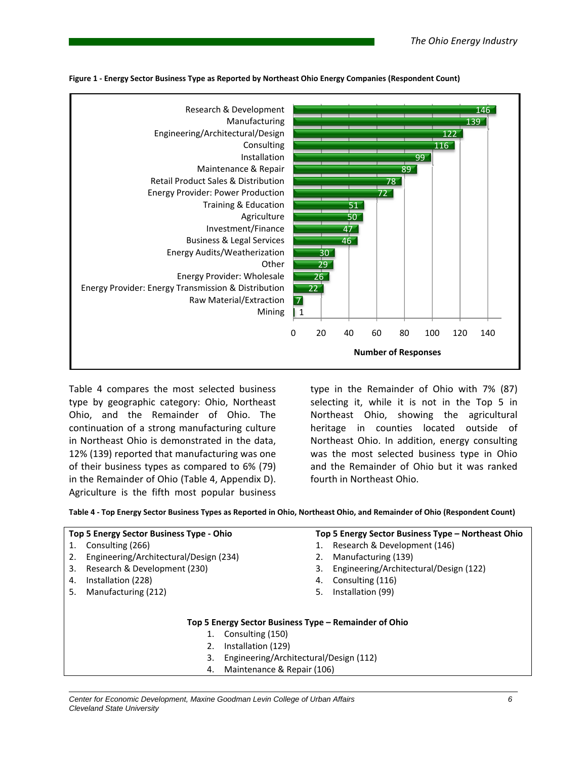

**Figure 1 ‐ Energy Sector Business Type as Reported by Northeast Ohio Energy Companies (Respondent Count)**

Table 4 compares the most selected business type by geographic category: Ohio, Northeast Ohio, and the Remainder of Ohio. The continuation of a strong manufacturing culture in Northeast Ohio is demonstrated in the data, 12% (139) reported that manufacturing was one of their business types as compared to 6% (79) in the Remainder of Ohio (Table 4, Appendix D). Agriculture is the fifth most popular business

type in the Remainder of Ohio with 7% (87) selecting it, while it is not in the Top 5 in Northeast Ohio, showing the agricultural heritage in counties located outside of Northeast Ohio. In addition, energy consulting was the most selected business type in Ohio and the Remainder of Ohio but it was ranked fourth in Northeast Ohio.

Table 4 - Top Energy Sector Business Types as Reported in Ohio, Northeast Ohio, and Remainder of Ohio (Respondent Count)

|    | <b>Top 5 Energy Sector Business Type - Ohio</b>       |    | Top 5 Energy Sector Business Type – Northeast Ohio |  |  |  |
|----|-------------------------------------------------------|----|----------------------------------------------------|--|--|--|
|    | Consulting (266)                                      |    | Research & Development (146)                       |  |  |  |
| 2. | Engineering/Architectural/Design (234)                |    | Manufacturing (139)                                |  |  |  |
| 3. | Research & Development (230)                          | 3. | Engineering/Architectural/Design (122)             |  |  |  |
| 4. | Installation (228)                                    | 4. | Consulting (116)                                   |  |  |  |
| 5. | Manufacturing (212)                                   | 5. | Installation (99)                                  |  |  |  |
|    |                                                       |    |                                                    |  |  |  |
|    |                                                       |    |                                                    |  |  |  |
|    | Top 5 Energy Sector Business Type – Remainder of Ohio |    |                                                    |  |  |  |
|    | Consulting (150)                                      |    |                                                    |  |  |  |
|    | Installation (129)<br>2.                              |    |                                                    |  |  |  |
|    | Engineering/Architectural/Design (112)<br>3.          |    |                                                    |  |  |  |
|    | Maintenance & Repair (106)<br>4.                      |    |                                                    |  |  |  |
|    |                                                       |    |                                                    |  |  |  |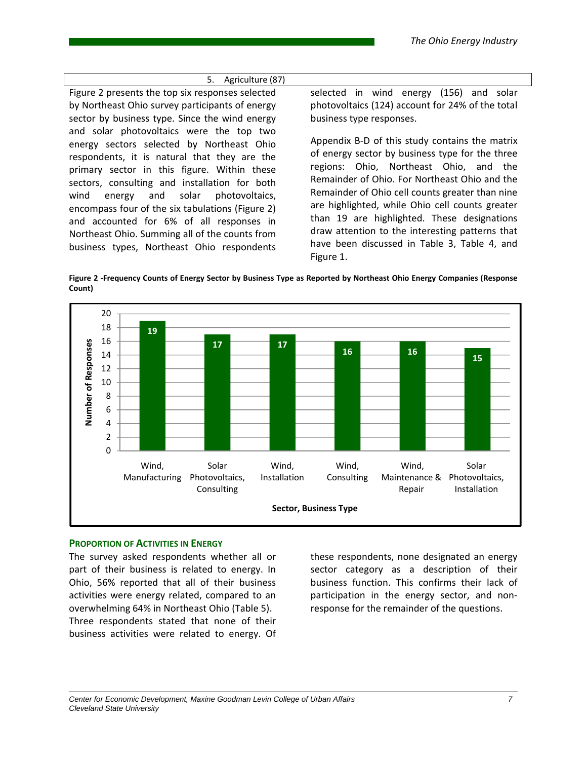### 5. Agriculture (87) Figure 2 presents the top six responses selected by Northeast Ohio survey participants of energy sector by business type. Since the wind energy and solar photovoltaics were the top two energy sectors selected by Northeast Ohio respondents, it is natural that they are the primary sector in this figure. Within these sectors, consulting and installation for both wind energy and solar photovoltaics, encompass four of the six tabulations (Figure 2) and accounted for 6% of all responses in Northeast Ohio. Summing all of the counts from business types, Northeast Ohio respondents

selected in wind energy (156) and solar photovoltaics (124) account for 24% of the total business type responses.

Appendix B‐D of this study contains the matrix of energy sector by business type for the three regions: Ohio, Northeast Ohio, and the Remainder of Ohio. For Northeast Ohio and the Remainder of Ohio cell counts greater than nine are highlighted, while Ohio cell counts greater than 19 are highlighted. These designations draw attention to the interesting patterns that have been discussed in Table 3, Table 4, and Figure 1.

Figure 2 -Frequency Counts of Energy Sector by Business Type as Reported by Northeast Ohio Energy Companies (Response **Count)**



#### **PROPORTION OF ACTIVITIES IN ENERGY**

The survey asked respondents whether all or part of their business is related to energy. In Ohio, 56% reported that all of their business activities were energy related, compared to an overwhelming 64% in Northeast Ohio (Table 5). Three respondents stated that none of their business activities were related to energy. Of

these respondents, none designated an energy sector category as a description of their business function. This confirms their lack of participation in the energy sector, and non‐ response for the remainder of the questions.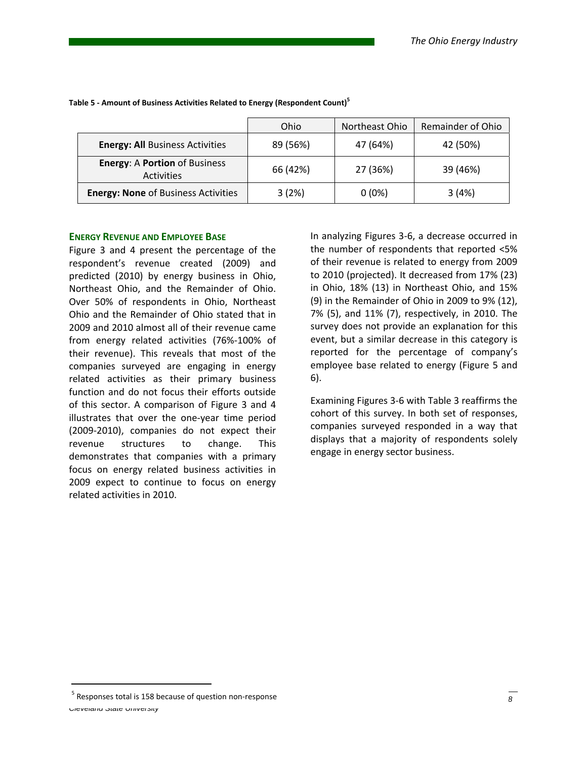|                                                           | Ohio     | Northeast Ohio | Remainder of Ohio |
|-----------------------------------------------------------|----------|----------------|-------------------|
| <b>Energy: All Business Activities</b>                    | 89 (56%) | 47 (64%)       | 42 (50%)          |
| <b>Energy: A Portion of Business</b><br><b>Activities</b> | 66 (42%) | 27 (36%)       | 39 (46%)          |
| <b>Energy: None of Business Activities</b>                | 3(2%)    | $0(0\%)$       | 3(4%)             |

**Table 5 ‐ Amount of Business Activities Related to Energy (Respondent Count)5**

### **ENERGY REVENUE AND EMPLOYEE BASE**

Figure 3 and 4 present the percentage of the respondent's revenue created (2009) and predicted (2010) by energy business in Ohio, Northeast Ohio, and the Remainder of Ohio. Over 50% of respondents in Ohio, Northeast Ohio and the Remainder of Ohio stated that in 2009 and 2010 almost all of their revenue came from energy related activities (76%‐100% of their revenue). This reveals that most of the companies surveyed are engaging in energy related activities as their primary business function and do not focus their efforts outside of this sector. A comparison of Figure 3 and 4 illustrates that over the one‐year time period (2009‐2010), companies do not expect their revenue structures to change. This demonstrates that companies with a primary focus on energy related business activities in 2009 expect to continue to focus on energy related activities in 2010.

In analyzing Figures 3‐6, a decrease occurred in the number of respondents that reported <5% of their revenue is related to energy from 2009 to 2010 (projected). It decreased from 17% (23) in Ohio, 18% (13) in Northeast Ohio, and 15% (9) in the Remainder of Ohio in 2009 to 9% (12), 7% (5), and 11% (7), respectively, in 2010. The survey does not provide an explanation for this event, but a similar decrease in this category is reported for the percentage of company's employee base related to energy (Figure 5 and 6).

Examining Figures 3‐6 with Table 3 reaffirms the cohort of this survey. In both set of responses, companies surveyed responded in a way that displays that a majority of respondents solely engage in energy sector business.

<sup>&</sup>lt;sup>5</sup> Responses total is 158 because of question non‐response **and a set of the College of Bilder**s 8 **8**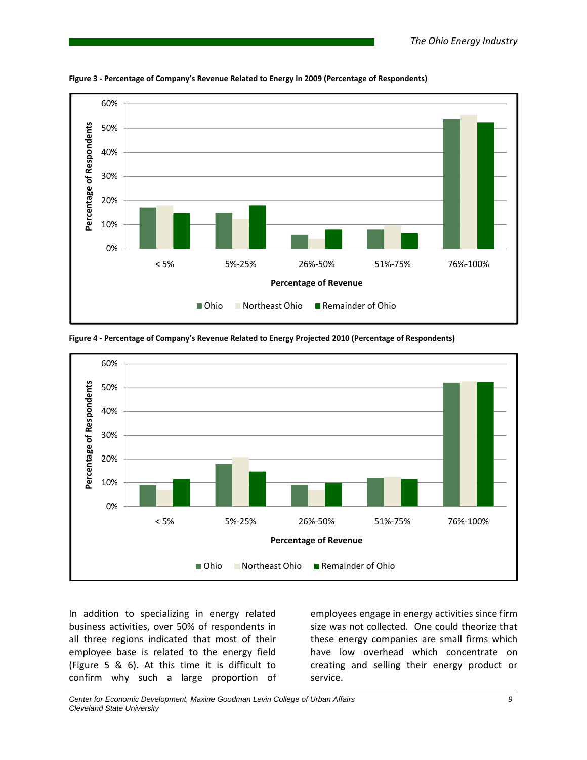

**Figure 3 ‐ Percentage of Company's Revenue Related to Energy in 2009 (Percentage of Respondents)**



**Figure 4 ‐ Percentage of Company's Revenue Related to Energy Projected 2010 (Percentage of Respondents)**

In addition to specializing in energy related business activities, over 50% of respondents in all three regions indicated that most of their employee base is related to the energy field (Figure 5 & 6). At this time it is difficult to confirm why such a large proportion of

employees engage in energy activities since firm size was not collected. One could theorize that these energy companies are small firms which have low overhead which concentrate on creating and selling their energy product or service.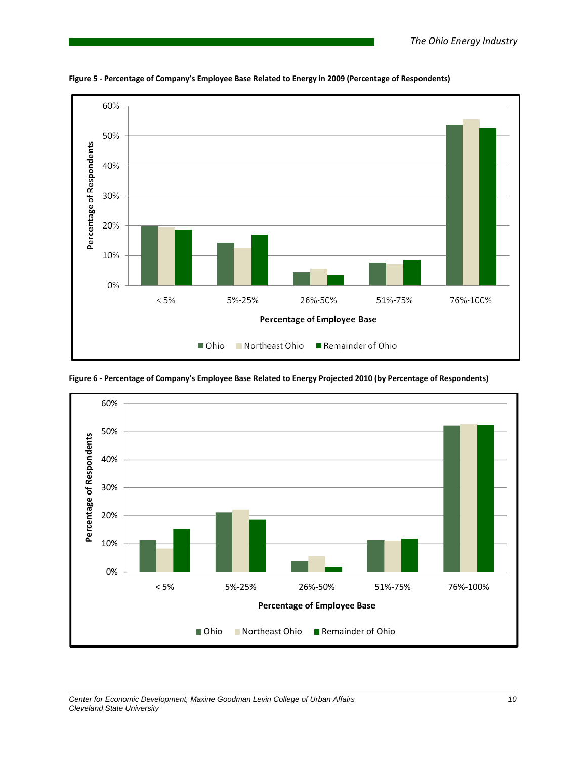

**Figure 5 ‐ Percentage of Company's Employee Base Related to Energy in 2009 (Percentage of Respondents)**



Figure 6 - Percentage of Company's Employee Base Related to Energy Projected 2010 (by Percentage of Respondents)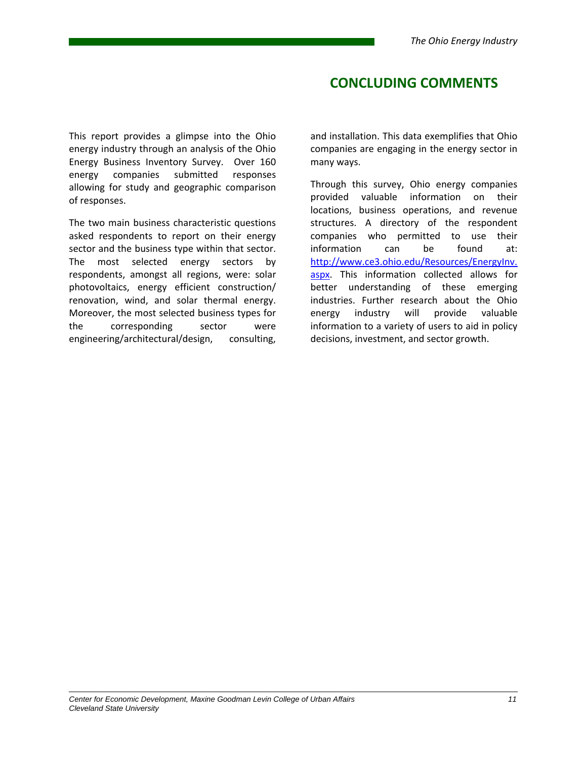## **CONCLUDING COMMENTS**

This report provides a glimpse into the Ohio energy industry through an analysis of the Ohio Energy Business Inventory Survey. Over 160 energy companies submitted responses allowing for study and geographic comparison of responses.

The two main business characteristic questions asked respondents to report on their energy sector and the business type within that sector. The most selected energy sectors by respondents, amongst all regions, were: solar photovoltaics, energy efficient construction/ renovation, wind, and solar thermal energy. Moreover, the most selected business types for the corresponding sector were engineering/architectural/design, consulting,

and installation. This data exemplifies that Ohio companies are engaging in the energy sector in many ways.

Through this survey, Ohio energy companies provided valuable information on their locations, business operations, and revenue structures. A directory of the respondent companies who permitted to use their information can be found at: http://www.ce3.ohio.edu/Resources/EnergyInv. aspx. This information collected allows for better understanding of these emerging industries. Further research about the Ohio energy industry will provide valuable information to a variety of users to aid in policy decisions, investment, and sector growth.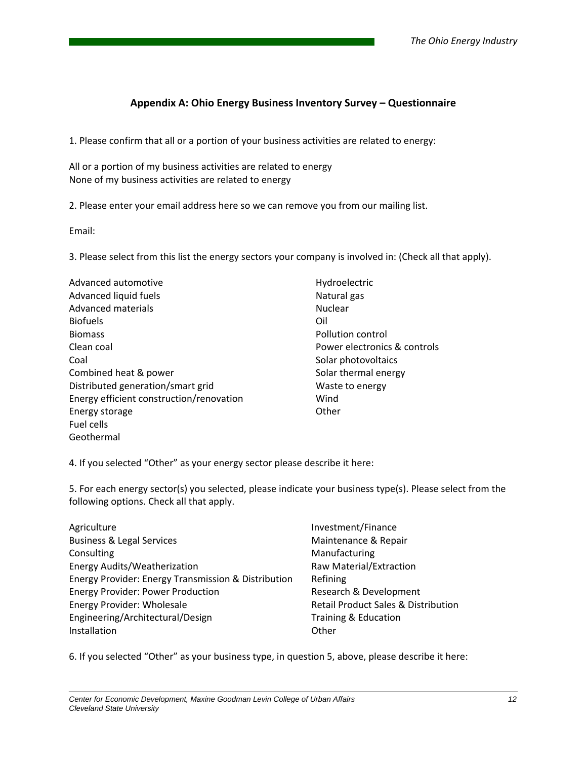### **Appendix A: Ohio Energy Business Inventory Survey – Questionnaire**

1. Please confirm that all or a portion of your business activities are related to energy:

All or a portion of my business activities are related to energy None of my business activities are related to energy

2. Please enter your email address here so we can remove you from our mailing list.

Email:

3. Please select from this list the energy sectors your company is involved in: (Check all that apply).

| Advanced automotive                      | Hydroelectric                |
|------------------------------------------|------------------------------|
| Advanced liquid fuels                    | Natural gas                  |
| Advanced materials                       | <b>Nuclear</b>               |
| <b>Biofuels</b>                          | Oil                          |
| <b>Biomass</b>                           | Pollution control            |
| Clean coal                               | Power electronics & controls |
| Coal                                     | Solar photovoltaics          |
| Combined heat & power                    | Solar thermal energy         |
| Distributed generation/smart grid        | Waste to energy              |
| Energy efficient construction/renovation | Wind                         |
| Energy storage                           | Other                        |
| Fuel cells                               |                              |
| Geothermal                               |                              |

4. If you selected "Other" as your energy sector please describe it here:

5. For each energy sector(s) you selected, please indicate your business type(s). Please select from the following options. Check all that apply.

- Agriculture Business & Legal Services Consulting Energy Audits/Weatherization Energy Provider: Energy Transmission & Distribution Energy Provider: Power Production Energy Provider: Wholesale Engineering/Architectural/Design Installation
- Investment/Finance Maintenance & Repair Manufacturing Raw Material/Extraction Refining Research & Development Retail Product Sales & Distribution Training & Education **Other**

6. If you selected "Other" as your business type, in question 5, above, please describe it here: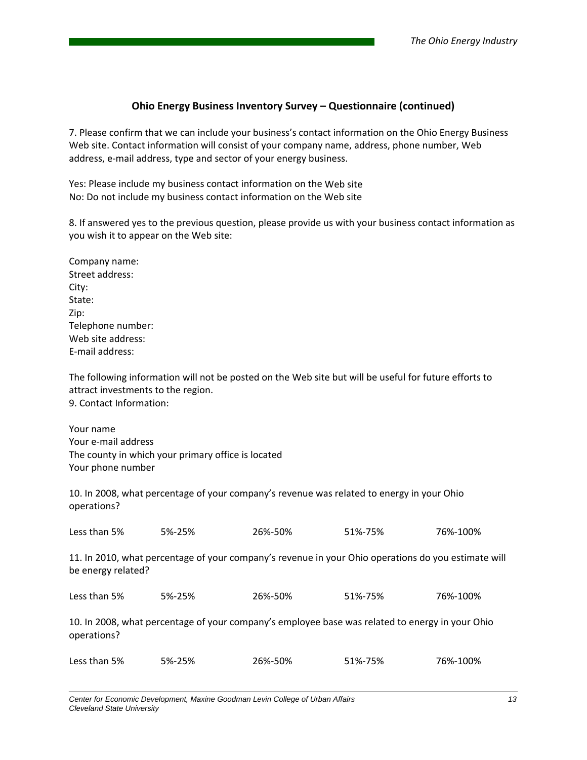### **Ohio Energy Business Inventory Survey – Questionnaire (continued)**

7. Please confirm that we can include your business's contact information on the Ohio Energy Business Web site. Contact information will consist of your company name, address, phone number, Web address, e‐mail address, type and sector of your energy business.

Yes: Please include my business contact information on the Web site No: Do not include my business contact information on the Web site

8. If answered yes to the previous question, please provide us with your business contact information as you wish it to appear on the Web site:

| Company name:     |
|-------------------|
| Street address:   |
| City:             |
| State:            |
| Zip:              |
| Telephone number: |
| Web site address: |
| F-mail address:   |

The following information will not be posted on the Web site but will be useful for future efforts to attract investments to the region. 9. Contact Information:

Your name Your e‐mail address The county in which your primary office is located Your phone number

10. In 2008, what percentage of your company's revenue was related to energy in your Ohio operations?

| Less than 5%       | 5%-25%                                                                                              | 26%-50% | 51%-75% | 76%-100% |  |  |
|--------------------|-----------------------------------------------------------------------------------------------------|---------|---------|----------|--|--|
| be energy related? | 11. In 2010, what percentage of your company's revenue in your Ohio operations do you estimate will |         |         |          |  |  |
| Less than 5%       | 26%-50%<br>5%-25%                                                                                   |         | 51%-75% | 76%-100% |  |  |
| operations?        | 10. In 2008, what percentage of your company's employee base was related to energy in your Ohio     |         |         |          |  |  |
| Less than 5%       | 5%-25%                                                                                              | 26%-50% | 51%-75% | 76%-100% |  |  |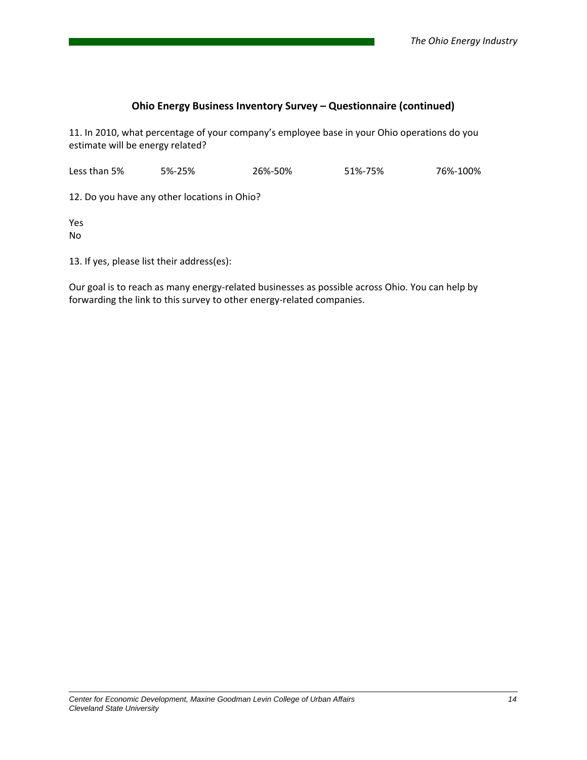### **Ohio Energy Business Inventory Survey – Questionnaire (continued)**

11. In 2010, what percentage of your company's employee base in your Ohio operations do you estimate will be energy related?

Less than 5% 5%‐25% 26%‐50% 51%‐75% 76%‐100%

12. Do you have any other locations in Ohio?

Yes No

13. If yes, please list their address(es):

Our goal is to reach as many energy-related businesses as possible across Ohio. You can help by forwarding the link to this survey to other energy‐related companies.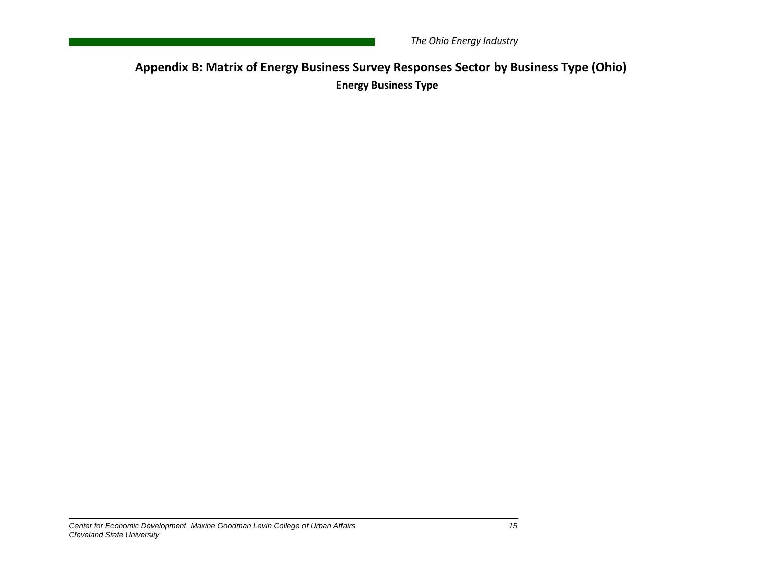**Appendix B: Matrix of Energy Business Survey Responses Sector by Business Type (Ohio) Energy Business Type**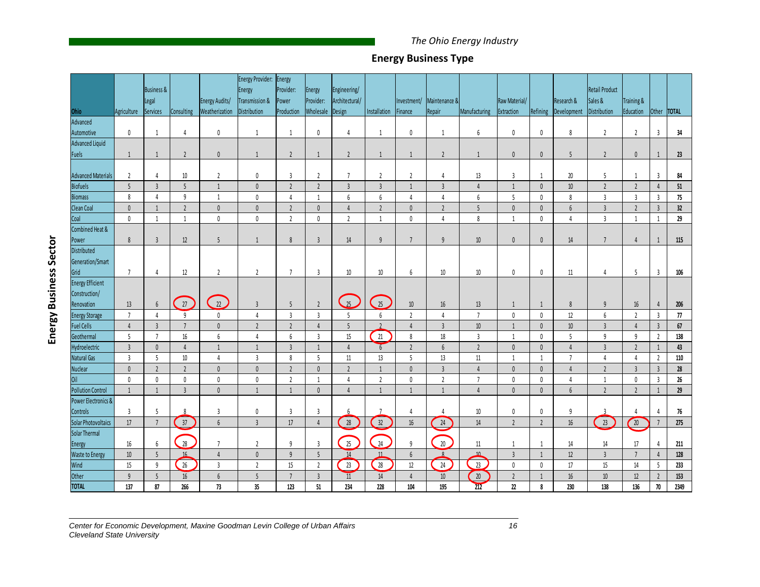### **Energy Business Type**

|                           |                      | <b>Business &amp;</b>             |                  |                        | Energy Provider:<br>Energy | Energy<br>Provider: | Energy               | Engineering/    |                  |                      |                 |                 |                      |                                |                  | Retail Product      |                                                 |                      |                     |
|---------------------------|----------------------|-----------------------------------|------------------|------------------------|----------------------------|---------------------|----------------------|-----------------|------------------|----------------------|-----------------|-----------------|----------------------|--------------------------------|------------------|---------------------|-------------------------------------------------|----------------------|---------------------|
|                           |                      | Legal                             |                  | Energy Audits/         | Transmission &             | Power               | Provider:            | Architectural/  |                  | Investment/          | Maintenance &   |                 | Raw Material/        |                                | Research &       | Sales &             | Training &                                      |                      |                     |
| Ohio                      | Agriculture          | Services                          | Consulting       | Weatherization         | Distribution               | Production          | Wholesale            | Design          | Installation     | Finance              | <b>Repair</b>   | Manufacturing   | Extraction           | Refining                       | Development      | Distribution        | Education                                       | Other                | <b>TOTAL</b>        |
| Advanced                  |                      |                                   |                  |                        |                            |                     |                      |                 |                  |                      |                 |                 |                      |                                |                  |                     |                                                 |                      |                     |
| Automotive                | $\mathbf{0}$         | $\mathbf{1}$                      | $\overline{4}$   | $\mathbf{0}$           | $\mathbf{1}$               | 1                   | $\pmb{0}$            | 4               | $\mathbf{1}$     | 0                    | $\mathbf{1}$    | 6               | $\mathbb 0$          | $\pmb{0}$                      | 8                | $\overline{2}$      | $\overline{2}$                                  | $\mathbf{3}$         | 34                  |
| Advanced Liquid           |                      |                                   |                  |                        |                            |                     |                      |                 |                  |                      |                 |                 |                      |                                |                  |                     |                                                 |                      |                     |
| Fuels                     | $\mathbf{1}$         | $\mathbf{1}$                      | $\overline{2}$   | $\theta$               | -1                         | $\overline{2}$      | 1                    | $\overline{2}$  | $\mathbf{1}$     | -1                   | $\overline{2}$  | $\mathbf{1}$    | $\mathbb O$          | $\pmb{0}$                      | 5                | $\overline{2}$      | $\mathbf 0$                                     | $\mathbf{1}$         | 23                  |
| <b>Advanced Materials</b> | $\overline{2}$       | 4                                 | 10               | $\overline{2}$         | $\pmb{0}$                  | $\overline{3}$      | $\overline{2}$       | $7\overline{ }$ | $\overline{2}$   | $\overline{2}$       | $\overline{4}$  | 13              | $\mathbf{3}$         |                                | 20               |                     | 1                                               | $\mathbf{3}$         | 84                  |
| Biofuels                  | $5\phantom{.0}$      | $\overline{3}$                    | 5                | $\mathbf{1}$           | $\pmb{0}$                  | $\overline{2}$      | $\overline{2}$       | $\overline{3}$  | $\overline{3}$   | $\mathbf{1}$         | $\overline{3}$  | $\overline{4}$  | $\mathbf{1}$         | $\overline{1}$<br>$\mathbf{0}$ | $10$             | $5\,$<br>$\sqrt{2}$ | $\overline{2}$                                  | $\overline{4}$       | $51\,$              |
| <b>Biomass</b>            | 8                    | $\overline{4}$                    | $\overline{9}$   | $\mathbf{1}$           | $\pmb{0}$                  | $\overline{4}$      | $\mathbf{1}$         | 6               | $\boldsymbol{6}$ | 4                    | $\overline{4}$  | 6               | $\overline{5}$       | $\mathbb O$                    | 8                | $\mathsf 3$         | $\overline{3}$                                  | $\overline{3}$       | 75                  |
| Clean Coal                | $\mathbf{0}$         | $\mathbf{1}$                      | $\overline{2}$   | $\pmb{0}$              | $\pmb{0}$                  | $\overline{2}$      | $\mathbf 0$          | $\overline{4}$  | $\overline{2}$   | $\mathbf{0}$         | $\overline{2}$  | $5\phantom{.0}$ | $\mathbb O$          | $\pmb{0}$                      | $\boldsymbol{6}$ | $\overline{3}$      | $\overline{2}$                                  | $\overline{3}$       | 32                  |
| Coal                      | $\mathbf 0$          | 1                                 | $\mathbf{1}$     | $\pmb{0}$              | $\pmb{0}$                  | $\overline{2}$      | $\mathbf 0$          | $\overline{2}$  | $\mathbf{1}$     | $\mathbf 0$          | $\overline{4}$  | 8               | 1                    | $\pmb{0}$                      | $\overline{4}$   | $\mathbf{3}$        | 1                                               | $\mathbf{1}$         | 29                  |
| Combined Heat &           |                      |                                   |                  |                        |                            |                     |                      |                 |                  |                      |                 |                 |                      |                                |                  |                     |                                                 |                      |                     |
| Power                     | 8                    | $\overline{3}$                    | 12               | 5                      | $\overline{1}$             | $\,8\,$             | $\overline{3}$       | 14              | 9                | 7                    | $\overline{9}$  | 10              | $\mathbf{0}$         | $\mathbf 0$                    | 14               | 7                   | $\overline{4}$                                  | $\overline{1}$       | 115                 |
| <b>Distributed</b>        |                      |                                   |                  |                        |                            |                     |                      |                 |                  |                      |                 |                 |                      |                                |                  |                     |                                                 |                      |                     |
| Generation/Smart          |                      |                                   |                  |                        |                            |                     |                      |                 |                  |                      |                 |                 |                      |                                |                  |                     |                                                 |                      |                     |
| Grid                      | $\overline{7}$       | 4                                 | 12               | $\overline{2}$         | $\overline{2}$             | $\overline{7}$      | $\overline{3}$       | 10              | 10               | 6                    | 10              | 10              | $\mathbf 0$          | 0                              | 11               | 4                   | 5                                               | 3                    | 106                 |
| <b>Energy Efficient</b>   |                      |                                   |                  |                        |                            |                     |                      |                 |                  |                      |                 |                 |                      |                                |                  |                     |                                                 |                      |                     |
| Construction/             |                      |                                   |                  |                        |                            |                     |                      |                 |                  |                      |                 |                 |                      |                                |                  |                     |                                                 |                      |                     |
| Renovation                | 13                   | $\boldsymbol{6}$                  | 27               | $\boxed{22}$           | $\overline{3}$             | 5                   | $\overline{2}$       | $\frac{25}{25}$ | $\overline{25}$  | $10$                 | 16              | 13              | 1                    | 1                              | $\,8\,$          | $9\,$               | 16                                              | $\overline{4}$       | 206                 |
| <b>Energy Storage</b>     | $\overline{7}$       | $\overline{4}$                    | $\overline{9}$   | $\mathbf 0$            | $\overline{4}$             | $\overline{3}$      | $\overline{3}$       | 5               | $\boldsymbol{6}$ | $\overline{2}$       | $\overline{4}$  | $\overline{7}$  | $\mathbb O$          | $\mathbf 0$                    | 12               | $\boldsymbol{6}$    | $\overline{2}$                                  | $\overline{3}$       | $\boldsymbol{\eta}$ |
| <b>Fuel Cells</b>         | $\overline{4}$       | $\overline{3}$                    | $\overline{7}$   | $\mathbb O$            | $\sqrt{2}$                 | $\sqrt{2}$          | $\overline{4}$       | $5\phantom{.0}$ | $\overline{2}$   | $\overline{4}$       | $\overline{3}$  | $10\,$          | $\mathbf{1}$         | $\pmb{0}$                      | $10\,$           | $\mathsf 3$         | $\overline{4}$                                  | $\overline{3}$       | $67\,$              |
| Geothermal                | 5                    | $\overline{7}$                    | 16               | 6                      | $\sqrt{4}$                 | $\boldsymbol{6}$    | $\overline{3}$       | 15              | $21\,$           | 8                    | $18\,$          | $\overline{3}$  | $\mathbf{1}$         | $\mathbf 0$                    | $\overline{5}$   | $\boldsymbol{9}$    | 9                                               | $\overline{2}$       | 138                 |
| Hydroelectric             | $\overline{3}$       | $\mathbf 0$                       | $\overline{4}$   | $\mathbf{1}$           | $\mathbf{1}$               | $\overline{3}$      | 1                    | $\overline{4}$  | 6                | $\overline{2}$       | 6               | $\overline{2}$  | $\pmb{0}$            | $\mathbf{0}$                   | $\overline{4}$   | $\overline{3}$      | $\overline{2}$                                  | 1                    | 43                  |
| <b>Natural Gas</b>        | $\overline{3}$       | $5\phantom{a}$                    | $10\,$           | $\overline{4}$         | $\overline{3}$             | 8                   | 5                    | $11$            | 13               | 5                    | 13              | $11\,$          | 1                    | $\overline{1}$                 | $\overline{7}$   | $\overline{4}$      | $\overline{4}$                                  | $\overline{2}$       | 110                 |
| Nuclear                   | $\mathbf{0}$         | $\overline{2}$                    | $\overline{2}$   | $\pmb{0}$              | $\pmb{0}$                  | $\overline{2}$      | $\mathbf{0}$         | $\overline{2}$  | $\mathbf{1}$     | $\mathbf{0}$         | $\overline{3}$  | $\overline{4}$  | $\pmb{0}$            | $\pmb{0}$                      | $\overline{4}$   | $\sqrt{2}$          | $\overline{3}$                                  | $\overline{3}$       | ${\bf 28}$          |
| $0$ il                    | $\mathbf{0}$         | $\mathbf{0}$                      | $\pmb{0}$        | $\pmb{0}$              | $\mathbf{0}$               | $\overline{2}$      | -1                   | $\overline{4}$  | $\overline{2}$   | $\mathbf 0$          | $\overline{2}$  | $\overline{7}$  | $\mathbb O$          | $\mathbf 0$                    | $\overline{4}$   | $\mathbf{1}$        | $\mathbf{0}$                                    | $\overline{3}$       | $26\,$              |
| <b>Pollution Control</b>  | $\overline{1}$       | $\mathbf{1}$                      | $\overline{3}$   | $\mathbb{0}$           | $\mathbf{1}$               | $\mathbf{1}$        | $\mathbf{0}$         | $\overline{4}$  | $\mathbf{1}$     | $\overline{1}$       | $\overline{1}$  | $\overline{4}$  | $\mathbf{0}$         | $\pmb{0}$                      | $6\phantom{.0}$  | $\overline{2}$      | $\overline{2}$                                  | 1                    | 29                  |
| Power Electronics &       |                      |                                   |                  |                        |                            |                     |                      |                 |                  |                      |                 |                 |                      |                                |                  |                     |                                                 |                      |                     |
| Controls                  | $\overline{3}$       | 5                                 | $\mathbf{g}$     | $\overline{3}$         | $\pmb{0}$                  | $\overline{3}$      | $\overline{3}$       |                 |                  | 4                    | 4               | $10\,$          | $\pmb{0}$            | 0                              | 9                | $\overline{3}$      | 4                                               | 4                    | 76                  |
| Solar Photovoltaics       | $17\,$               | $\overline{7}$                    | $\bigg(37\bigg)$ | $\sqrt{6}$             | $\overline{3}$             | $17\,$              | $\overline{4}$       | 28              | $\bigodot$       | $16\,$               | $\overline{24}$ | 14              | $\overline{2}$       | $\overline{2}$                 | $16\,$           | $\overline{23}$     | $\bigg( \begin{array}{c} 20 \end{array} \bigg)$ | $\overline{7}$       | 275                 |
| Solar Thermal             |                      |                                   |                  |                        |                            |                     |                      |                 |                  |                      |                 |                 |                      |                                |                  |                     |                                                 |                      |                     |
| Energy                    | 16                   | $\boldsymbol{6}$                  | 28               | $\overline{7}$         | $\overline{2}$             | 9                   | $\overline{3}$       | 25              | 24               | $\overline{9}$       | 20 <sub>2</sub> | $11$<br>10      | 1                    | $\mathbf{1}$                   | 14               | 14                  | 17                                              | 4                    | 211                 |
| Waste to Energy           | $10\,$               | $5\overline{)}$                   | 16               | $\overline{4}$         | $\pmb{0}$                  | 9                   | 5                    | 14<br>23        | 11<br>28         | $6\,$                | $\mathbf{R}$    | 23              | $\overline{3}$       | $\mathbf{1}$                   | 12               | $\overline{3}$      | $\overline{7}$                                  | $\overline{4}$       | 128                 |
| Wind                      | 15<br>$\overline{9}$ | $\overline{9}$<br>$5\overline{)}$ | 26               | $\overline{3}$         | $\overline{2}$             | $15\,$<br>7         | $\overline{2}$       |                 |                  | 12<br>$\overline{4}$ | $24$            |                 | $\mathbb O$          | $\mathbf 0$                    | 17               | $15\,$              | 14                                              | 5                    | 233                 |
| Other<br><b>TOTAL</b>     | 137                  | 87                                | $16\,$<br>266    | $\boldsymbol{6}$<br>73 | $\sqrt{5}$<br>35           | 123                 | $\overline{3}$<br>51 | 11<br>234       | $14\,$<br>228    | 104                  | $10\,$<br>195   | $20\,$<br>212   | $\overline{2}$<br>22 | $\mathbf{1}$<br>8              | $16\,$<br>230    | $10\,$<br>138       | $12$<br>136                                     | $\overline{2}$<br>70 | 153<br>2349         |

*Center for Economic Development, Maxine Goodman Levin College of Urban Affairs 16 Cleveland State University*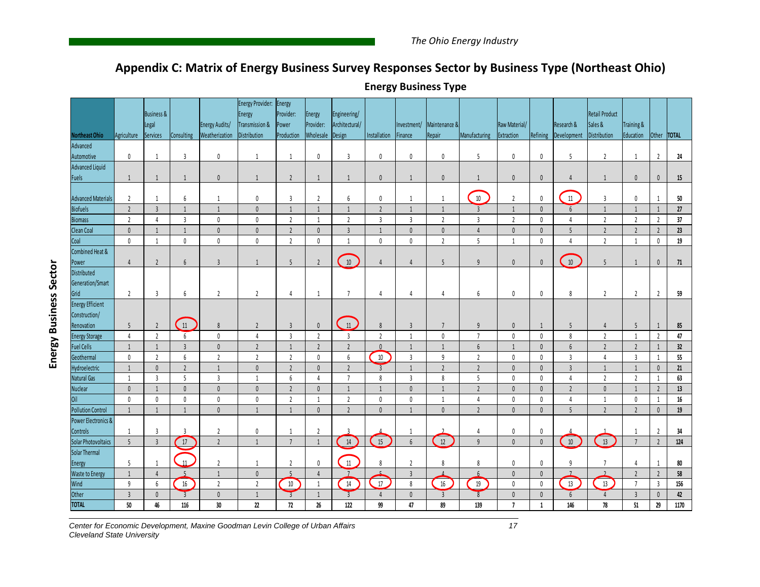## **Appendix C: Matrix of Energy Business Survey Responses Sector by Business Type (Northeast Ohio)**

|                                      |                | <b>Business &amp;</b> |                 |                                  | Energy Provider: Energy<br>Energy | Provider:           | Energy                 | Engineering/             |                |                        |                         |                     |                             |              |                           | <b>Retail Product</b>   |                         |                |           |
|--------------------------------------|----------------|-----------------------|-----------------|----------------------------------|-----------------------------------|---------------------|------------------------|--------------------------|----------------|------------------------|-------------------------|---------------------|-----------------------------|--------------|---------------------------|-------------------------|-------------------------|----------------|-----------|
| <b>Northeast Ohio</b>                | Agriculture    | Legal<br>Services     | Consulting      | Energy Audits/<br>Weatherization | Transmission &<br>Distribution    | Power<br>Production | Provider:<br>Wholesale | Architectural/<br>Design | Installation   | Investment/<br>Finance | Maintenance &<br>Repair | Manufacturing       | Raw Material/<br>Extraction | Refining     | Research &<br>Development | Sales &<br>Distribution | Training &<br>Education | Other  TOTAL   |           |
| Advanced                             |                |                       |                 |                                  |                                   |                     |                        |                          |                |                        |                         |                     |                             |              |                           |                         |                         |                |           |
| Automotive                           | $\mathbf{0}$   | 1                     | $\overline{3}$  | $\mathbf{0}$                     | $\mathbf{1}$                      | 1                   | $\mathbf{0}$           | $\overline{3}$           | $\mathbf 0$    | $\mathbf{0}$           | $\mathbf 0$             | 5                   | $\mathbf 0$                 | $\mathbf{0}$ | 5                         | $\overline{2}$          | -1                      | $\overline{2}$ | 24        |
| Advanced Liquid                      |                |                       |                 |                                  |                                   |                     |                        |                          |                |                        |                         |                     |                             |              |                           |                         |                         |                |           |
| Fuels                                | 1              | $\overline{1}$        | 1               | $\mathbf{0}$                     | $\mathbf{1}$                      | $\overline{2}$      | 1                      | 1                        | $\mathbf{0}$   | 1                      | $\mathbf{0}$            | 1                   | $\pmb{0}$                   | $\mathbf{0}$ | $\overline{4}$            | $\mathbf{1}$            | $\theta$                | $\mathbf 0$    | 15        |
|                                      |                |                       |                 |                                  |                                   |                     |                        |                          |                |                        |                         |                     |                             |              |                           |                         |                         |                |           |
| <b>Advanced Materials</b>            | $\overline{2}$ | 1                     | 6               | $\overline{1}$                   | 0                                 | $\overline{3}$      | $\overline{2}$         | 6                        | $\mathbf 0$    | -1                     | $\mathbf{1}$            | $10\,$              | $\overline{2}$              | $\mathbf 0$  | $11\,$                    | $\mathbf{3}$            | 0                       | $\mathbf{1}$   | 50        |
| Biofuels                             | $\overline{2}$ | $\overline{3}$        | $\mathbf 1$     | $\overline{1}$                   | $\pmb{0}$                         | $\mathbf{1}$        | $\overline{1}$         | $\mathbf{1}$             | $\overline{2}$ | $\overline{1}$         | $\overline{1}$          | $\overline{3}$      | $\mathbf{1}$                | $\mathbf{0}$ | $6\overline{6}$           | $\mathbf{1}$            | $\overline{1}$          | $\overline{1}$ | 27        |
| <b>Biomass</b>                       | $\overline{2}$ | $\overline{4}$        | $\overline{3}$  | $\mathbf{0}$                     | $\mathbf 0$                       | $\overline{2}$      | $\overline{1}$         | $\overline{2}$           | $\overline{3}$ | $\overline{3}$         | $\overline{2}$          | $\overline{3}$      | $\overline{2}$              | $\mathbf 0$  | $\overline{4}$            | $\overline{2}$          | $\overline{2}$          | $\overline{2}$ | 37        |
| Clean Coal                           | $\mathbf{0}$   | $\overline{1}$        | $\mathbf{1}$    | $\mathbf{0}$                     | $\mathbf{0}$                      | $\overline{2}$      | $\mathbf{0}$           | $\overline{3}$           | $\mathbf{1}$   | $\theta$               | $\mathbf{0}$            | $\Delta$            | $\mathbf{0}$                | $\mathbf{0}$ | 5                         | $\overline{2}$          | $\overline{2}$          | $\overline{2}$ | 23        |
| Coal                                 | $\mathbf 0$    | 1                     | $\mathbf 0$     | $\mathbf{0}$                     | $\mathbf 0$                       | $\overline{2}$      | $\mathbf{0}$           | 1                        | $\mathbf 0$    | $\mathbf 0$            | $\overline{2}$          | 5                   | 1                           | $\mathbf{0}$ | 4                         | $\overline{2}$          | -1                      | $\mathbf 0$    | 19        |
| Combined Heat &                      |                |                       |                 |                                  |                                   |                     |                        |                          |                |                        |                         |                     |                             |              |                           |                         |                         |                |           |
| Power                                | $\overline{4}$ | $\overline{2}$        | $6\overline{6}$ | $\overline{3}$                   | 1                                 | 5                   | $\overline{2}$         | $10\,$                   | $\overline{4}$ | $\overline{4}$         | 5                       | 9                   | $\mathbf{0}$                | $\mathbf{0}$ | 10                        | 5                       | $\overline{1}$          | $\mathbf 0$    | 71        |
| Distributed                          |                |                       |                 |                                  |                                   |                     |                        |                          |                |                        |                         |                     |                             |              |                           |                         |                         |                |           |
| Generation/Smart                     |                |                       |                 |                                  |                                   |                     |                        |                          |                |                        |                         |                     |                             |              |                           |                         |                         |                |           |
| Grid                                 | $\overline{2}$ | $\overline{3}$        | 6               | $\overline{2}$                   | $\overline{2}$                    | 4                   | 1                      | $\overline{7}$           | 4              | 4                      | 4                       | 6                   | 0                           | $\pmb{0}$    | 8                         | $\overline{2}$          | $\overline{2}$          | $\overline{2}$ | 59        |
| <b>Energy Efficient</b>              |                |                       |                 |                                  |                                   |                     |                        |                          |                |                        |                         |                     |                             |              |                           |                         |                         |                |           |
| Construction/                        |                |                       |                 |                                  |                                   |                     |                        |                          |                |                        |                         |                     |                             |              |                           |                         |                         |                |           |
| Renovation                           | 5              | $\overline{2}$        | $\boxed{11}$    | $\,$ 8                           | $\overline{2}$                    | $\mathbf{3}$        | $\theta$               | 11                       | 8              | $\overline{3}$         | 7                       | 9                   | $\pmb{0}$                   | 1            | 5                         | $\overline{4}$          | 5                       | $\mathbf{1}$   | 85        |
| <b>Energy Storage</b>                | $\overline{4}$ | $\overline{2}$        | 6               | $\mathbf{0}$                     | $\overline{4}$                    | $\overline{3}$      | $\overline{2}$         | $\overline{3}$           | $\overline{2}$ | $\mathbf{1}$           | $\mathbf 0$             | $\overline{7}$      | $\mathbf 0$                 | $\mathbf{0}$ | 8                         | $\overline{2}$          | $\overline{1}$          | $\overline{2}$ | 47        |
| <b>Fuel Cells</b>                    | $\mathbf{1}$   | $\mathbf{1}$          | $\overline{3}$  | $\pmb{0}$                        | $\overline{2}$                    | $\mathbf{1}$        | $\overline{2}$         | $\overline{2}$           | $\mathbf{0}$   | $\overline{1}$         | $\overline{1}$          | $6\overline{6}$     | $\mathbf{1}$                | $\mathbf{0}$ | $6\overline{6}$           | $\overline{2}$          | $\overline{2}$          | 1              | 32        |
| Geothermal                           | $\mathbb O$    | $\overline{2}$        | 6               | $\overline{2}$                   | $\overline{2}$                    | $\overline{2}$      | $\mathbf 0$            | $6\overline{6}$          | $10\,$         | $\overline{3}$         | $\overline{9}$          | $\overline{2}$      | $\mathbf 0$                 | $\mathbf{0}$ | $\overline{3}$            | $\overline{4}$          | $\overline{3}$          | $\mathbf{1}$   | 55        |
| Hydroelectric                        | $\overline{1}$ | $\mathbb O$           | $\overline{2}$  | $\mathbf{1}$                     | $\pmb{0}$                         | $\overline{2}$      | $\mathbf{0}$           | $\overline{2}$           | $\overline{3}$ | $\overline{1}$         | $\overline{2}$          | $\overline{2}$      | $\mathbf{0}$                | $\mathbf{0}$ | $\overline{3}$            | $\mathbf{1}$            | $\overline{1}$          | $\mathbf 0$    | 21        |
| Natural Gas                          | 1              | $\overline{3}$        | 5               | $\overline{3}$                   | $\mathbf{1}$                      | $6\,$               | $\overline{4}$         | $\overline{7}$           | 8              | $\overline{3}$         | 8                       | 5                   | $\mathbf 0$                 | $\mathbf 0$  | $\overline{4}$            | $\overline{2}$          | $\overline{2}$          | 1              | 63        |
| <b>Nuclear</b>                       | $\mathbf{0}$   | 1                     | $\mathbf{0}$    | $\mathbf{0}$                     | $\pmb{0}$                         | $\overline{2}$      | $\mathbf{0}$           | $\mathbf{1}$             | $\mathbf{1}$   | $\theta$               | $\mathbf{1}$            | $\overline{2}$      | $\mathbf{0}$                | $\mathbf{0}$ | $\overline{2}$            | $\mathbf{0}$            | $\overline{1}$          | $\overline{2}$ | 13        |
| <b>Oil</b>                           | $\mathbf 0$    | $\mathbf 0$           | $\mathbf 0$     | $\mathbf{0}$                     | $\pmb{0}$                         | $\overline{2}$      | $\overline{1}$         | $\overline{2}$           | $\mathbf 0$    | 0                      | $\mathbf{1}$            | 4                   | $\mathbf 0$                 | $\mathbf{0}$ | 4                         | $\mathbf{1}$            | $\theta$                | 1              | 16        |
| <b>Pollution Control</b>             | $\mathbf{1}$   | $\mathbf{1}$          | $\overline{1}$  | $\mathbf{0}$                     | $\mathbf{1}$                      | $\mathbf{1}$        | $\mathbf{0}$           | $\overline{2}$           | $\mathbf{0}$   | $\mathbf{1}$           | $\mathbf{0}$            | $\overline{2}$      | $\mathbf{0}$                | $\mathbf{0}$ | 5                         | $\overline{2}$          | $\overline{2}$          | $\mathbb O$    | 19        |
| Power Electronics &                  |                | $\overline{3}$        | $\overline{3}$  | $\overline{2}$                   |                                   |                     |                        |                          |                |                        |                         |                     | $\mathbf 0$                 |              |                           |                         |                         |                |           |
| Controls                             | 1<br>5         | $\overline{3}$        | 17              | $\overline{2}$                   | $\mathbf 0$<br>$\mathbf{1}$       | 1<br>7              | $\overline{2}$         | $14$                     | $\frac{15}{2}$ | -1<br>$6\,$            | $\overline{12}$         | 4<br>$\overline{9}$ |                             | $\pmb{0}$    | $10\,$                    | 13                      | $\overline{7}$          | $\overline{2}$ | 34<br>124 |
| Solar Photovoltaics<br>Solar Thermal |                |                       |                 |                                  |                                   |                     | $\mathbf{1}$           |                          |                |                        |                         |                     | $\pmb{0}$                   | $\pmb{0}$    |                           |                         |                         | $\overline{2}$ |           |
| Energy                               | 5              | $\mathbf{1}$          | $\overline{11}$ | $\overline{2}$                   | $\mathbf{1}$                      | $\overline{2}$      | $\mathbf 0$            | $11$                     | 8              | $\overline{2}$         | 8                       | 8                   | $\mathbf 0$                 | $\mathbf 0$  | 9                         | $\overline{7}$          | Δ                       | 1              | 80        |
| <b>Waste to Energy</b>               | 1              | $\overline{4}$        | $\overline{5}$  | $\overline{1}$                   | $\pmb{0}$                         | 5                   | $\overline{4}$         | $\overline{7}$           | $\overline{a}$ | $\overline{3}$         | $\Lambda$               | $6 \overline{6}$    | $\mathbf{0}$                | $\pmb{0}$    | $7^{\circ}$               | $\overline{2}$          | $\overline{2}$          | $\overline{2}$ | 58        |
| Wind                                 | 9              | 6                     | 16              | $\overline{2}$                   | $\overline{2}$                    | 10                  | 1                      | 14                       | 17             | 8                      | $16\,$                  | 19                  | $\mathbf 0$                 | $\mathbf{0}$ | 13                        | 13                      | $\overline{7}$          | $\overline{3}$ | 156       |
| Other                                | $\overline{3}$ | $\mathbf{0}$          | $\overline{3}$  | $\mathbf{0}$                     | $\mathbf{1}$                      | $\overline{3}$      | $\overline{1}$         | $\overline{3}$           | $\overline{4}$ | $\mathbf{0}$           | $\overline{3}$          | 8                   | $\mathbf{0}$                | $\mathbf{0}$ | $6\phantom{.}$            | 4                       | $\overline{3}$          | $\mathbf{0}$   | 42        |
| <b>TOTAL</b>                         | 50             | 46                    | 116             | 30                               | 22                                | 72                  | 26                     | 122                      | 99             | 47                     | 89                      | 139                 | $\overline{\phantom{a}}$    | $\mathbf{1}$ | 146                       | 78                      | 51                      | 29             | 1170      |

**Energy Business Type**

*Center for Economic Development, Maxine Goodman Levin College of Urban Affairs 17 Cleveland State University*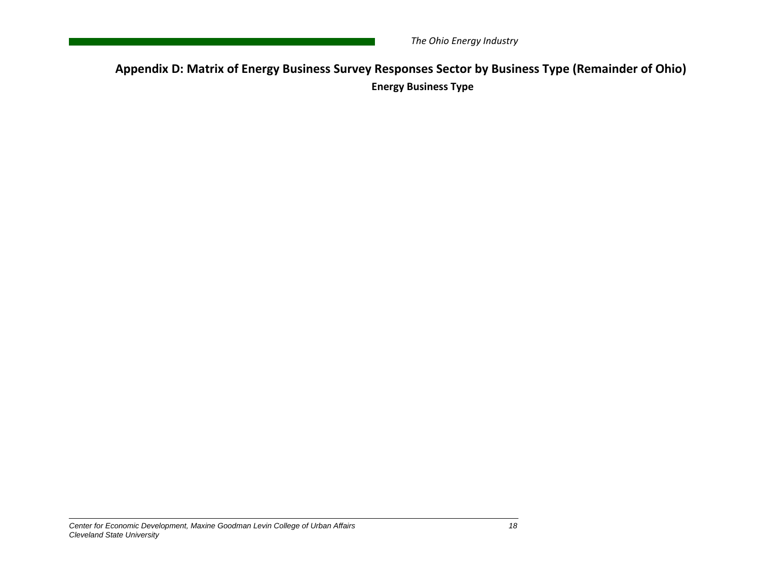**Appendix D: Matrix of Energy Business Survey Responses Sector by Business Type (Remainder of Ohio) Energy Business Type**